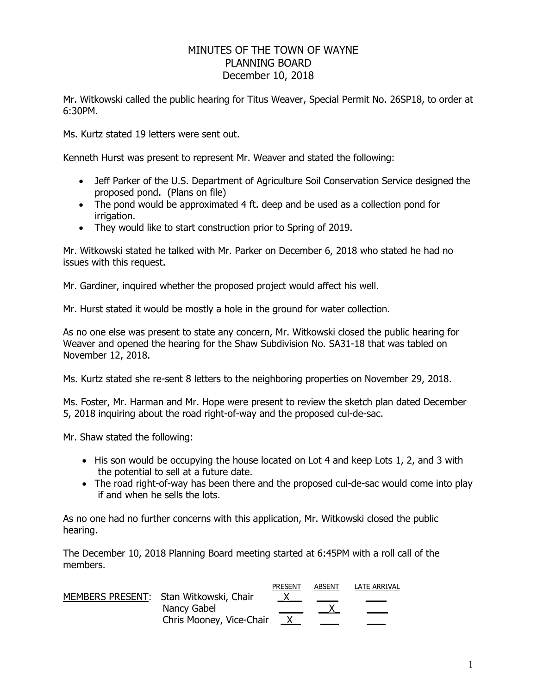## MINUTES OF THE TOWN OF WAYNE PLANNING BOARD December 10, 2018

Mr. Witkowski called the public hearing for Titus Weaver, Special Permit No. 26SP18, to order at 6:30PM.

Ms. Kurtz stated 19 letters were sent out.

Kenneth Hurst was present to represent Mr. Weaver and stated the following:

- Jeff Parker of the U.S. Department of Agriculture Soil Conservation Service designed the proposed pond. (Plans on file)
- The pond would be approximated 4 ft. deep and be used as a collection pond for irrigation.
- They would like to start construction prior to Spring of 2019.

Mr. Witkowski stated he talked with Mr. Parker on December 6, 2018 who stated he had no issues with this request.

Mr. Gardiner, inquired whether the proposed project would affect his well.

Mr. Hurst stated it would be mostly a hole in the ground for water collection.

As no one else was present to state any concern, Mr. Witkowski closed the public hearing for Weaver and opened the hearing for the Shaw Subdivision No. SA31-18 that was tabled on November 12, 2018.

Ms. Kurtz stated she re-sent 8 letters to the neighboring properties on November 29, 2018.

Ms. Foster, Mr. Harman and Mr. Hope were present to review the sketch plan dated December 5, 2018 inquiring about the road right-of-way and the proposed cul-de-sac.

Mr. Shaw stated the following:

- His son would be occupying the house located on Lot 4 and keep Lots 1, 2, and 3 with the potential to sell at a future date.
- The road right-of-way has been there and the proposed cul-de-sac would come into play if and when he sells the lots.

As no one had no further concerns with this application, Mr. Witkowski closed the public hearing.

The December 10, 2018 Planning Board meeting started at 6:45PM with a roll call of the members.

| <b>Contract Contract Contract Contract</b> |
|--------------------------------------------|
|                                            |
|                                            |
|                                            |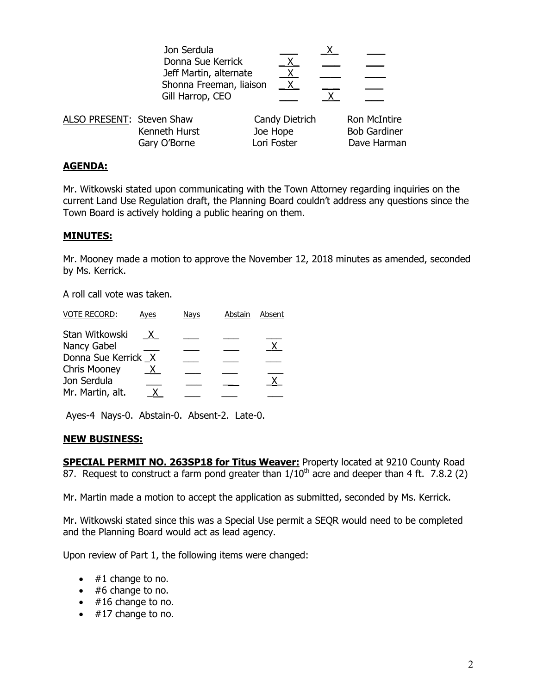|                           | Jon Serdula<br>Donna Sue Kerrick<br>Jeff Martin, alternate<br>Shonna Freeman, liaison<br>Gill Harrop, CEO | $\mathsf{X}$<br>X                         |                                                    |
|---------------------------|-----------------------------------------------------------------------------------------------------------|-------------------------------------------|----------------------------------------------------|
| ALSO PRESENT: Steven Shaw | Kenneth Hurst<br>Gary O'Borne                                                                             | Candy Dietrich<br>Joe Hope<br>Lori Foster | Ron McIntire<br><b>Bob Gardiner</b><br>Dave Harman |

## **AGENDA:**

Mr. Witkowski stated upon communicating with the Town Attorney regarding inquiries on the current Land Use Regulation draft, the Planning Board couldn't address any questions since the Town Board is actively holding a public hearing on them.

## **MINUTES:**

Mr. Mooney made a motion to approve the November 12, 2018 minutes as amended, seconded by Ms. Kerrick.

A roll call vote was taken.

| <b>VOTE RECORD:</b> | Ayes | <b>Nays</b> | Abstain | Absent |
|---------------------|------|-------------|---------|--------|
| Stan Witkowski      | X.   |             |         |        |
| Nancy Gabel         |      |             |         |        |
| Donna Sue Kerrick X |      |             |         |        |
| <b>Chris Mooney</b> |      |             |         |        |
| Jon Serdula         |      |             |         |        |
| Mr. Martin, alt.    |      |             |         |        |
|                     |      |             |         |        |

Ayes-4 Nays-0. Abstain-0. Absent-2. Late-0.

## **NEW BUSINESS:**

**SPECIAL PERMIT NO. 263SP18 for Titus Weaver:** Property located at 9210 County Road 87. Request to construct a farm pond greater than  $1/10<sup>th</sup>$  acre and deeper than 4 ft. 7.8.2 (2)

Mr. Martin made a motion to accept the application as submitted, seconded by Ms. Kerrick.

Mr. Witkowski stated since this was a Special Use permit a SEQR would need to be completed and the Planning Board would act as lead agency.

Upon review of Part 1, the following items were changed:

- $\bullet$  #1 change to no.
- $\bullet$  #6 change to no.
- $\bullet$  #16 change to no.
- $\bullet$  #17 change to no.